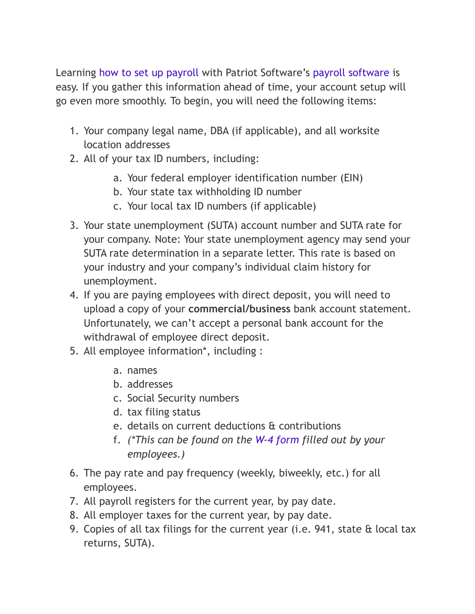Learning [how to set up payroll](https://www.patriotsoftware.com/blog/payroll/payroll-101-how-to-set-up-for-small-business/) with Patriot Software's [payroll software](https://www.patriotsoftware.com/payroll/software/) is easy. If you gather this information ahead of time, your account setup will go even more smoothly. To begin, you will need the following items:

- 1. Your company legal name, DBA (if applicable), and all worksite location addresses
- 2. All of your tax ID numbers, including:
	- a. Your federal employer identification number (EIN)
	- b. Your state tax withholding ID number
	- c. Your local tax ID numbers (if applicable)
- 3. Your state unemployment (SUTA) account number and SUTA rate for your company. Note: Your state unemployment agency may send your SUTA rate determination in a separate letter. This rate is based on your industry and your company's individual claim history for unemployment.
- 4. If you are paying employees with direct deposit, you will need to upload a copy of your **commercial/business** bank account statement. Unfortunately, we can't accept a personal bank account for the withdrawal of employee direct deposit.
- 5. All employee information\*, including :
	- a. names
	- b. addresses
	- c. Social Security numbers
	- d. tax filing status
	- e. details on current deductions & contributions
	- f. *(\*This can be found on the [W-4 form](https://www.irs.gov/pub/irs-pdf/fw4.pdf) filled out by your employees.)*
- 6. The pay rate and pay frequency (weekly, biweekly, etc.) for all employees.
- 7. All payroll registers for the current year, by pay date.
- 8. All employer taxes for the current year, by pay date.
- 9. Copies of all tax filings for the current year (i.e. 941, state & local tax returns, SUTA).